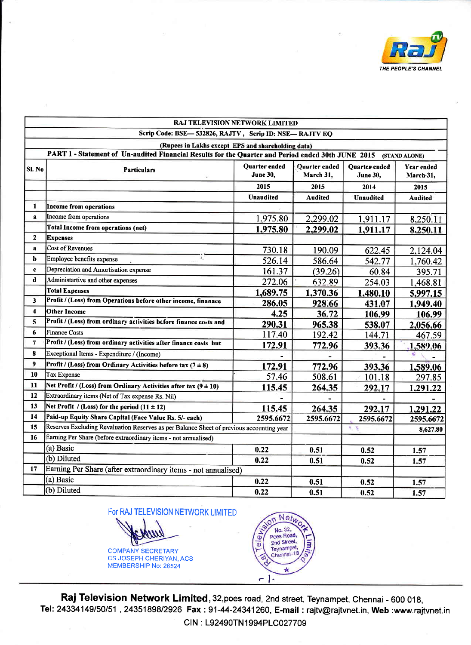

|                                                                                                                     | RAJ TELEVISION NETWORK LIMITED                                                           |                           |                            |                                  |                         |  |  |  |
|---------------------------------------------------------------------------------------------------------------------|------------------------------------------------------------------------------------------|---------------------------|----------------------------|----------------------------------|-------------------------|--|--|--|
| Scrip Code: BSE-532826, RAJTV, Scrip ID: NSE-RAJTV EQ                                                               |                                                                                          |                           |                            |                                  |                         |  |  |  |
| (Rupees in Lakhs except EPS and shareholding data)                                                                  |                                                                                          |                           |                            |                                  |                         |  |  |  |
| PART 1 - Statement of Un-audited Financial Results for the Quarter and Period endcd 30th JUNE 2015<br>(STAND ALONE) |                                                                                          |                           |                            |                                  |                         |  |  |  |
| SI. No                                                                                                              | <b>Particulars</b>                                                                       | Quarter ended<br>June 30. | Quarter ended<br>March 31, | Quartes ended<br><b>June 30.</b> | Year ended<br>March 31, |  |  |  |
|                                                                                                                     |                                                                                          | 2015                      | 2015                       | 2014                             | 2015                    |  |  |  |
|                                                                                                                     |                                                                                          | <b>Unaudited</b>          | <b>Audited</b>             | <b>Unaudited</b>                 | <b>Audited</b>          |  |  |  |
| 1                                                                                                                   | <b>Income from operations</b>                                                            |                           |                            |                                  |                         |  |  |  |
| a                                                                                                                   | Income from operations                                                                   | 1,975.80                  | 2,299.02                   | 1,911.17                         | 8,250.11                |  |  |  |
|                                                                                                                     | Total Income from operations (net)                                                       | 1,975.80                  | 2,299.02                   | 1,911.17                         | 8,250.11                |  |  |  |
| $\mathbf{2}$                                                                                                        | <b>Expenses</b>                                                                          |                           |                            |                                  |                         |  |  |  |
| a                                                                                                                   | <b>Cost of Revenues</b>                                                                  | 730.18                    | 190.09                     | 622.45                           | 2,124.04                |  |  |  |
| b                                                                                                                   | Ÿ.<br>Employee benefits expense                                                          | 526.14                    | 586.64                     | 542.77                           | 1,760.42                |  |  |  |
| $\mathbf c$                                                                                                         | Depreciation and Amortisation expense                                                    | 161.37                    | (39.26)                    | 60.84                            | 395.71                  |  |  |  |
| d                                                                                                                   | Administartive and other expenses                                                        | 272.06                    | 632.89                     | 254.03                           | 1,468.81                |  |  |  |
|                                                                                                                     | <b>Total Expenses</b>                                                                    | 1,689.75                  | 1,370.36                   | 1,480.10                         | 5,997.15                |  |  |  |
| $\overline{\mathbf{3}}$                                                                                             | Profit / (Loss) from Operations before other income, finanace                            | 286.05                    | 928.66                     | 431.07                           | 1,949.40                |  |  |  |
| $\overline{\mathbf{4}}$                                                                                             | <b>Other Income</b>                                                                      | 4.25                      | 36.72                      | 106.99                           | 106.99                  |  |  |  |
| 5                                                                                                                   | Profit / (Loss) from ordinary activities before finance costs and                        | 290.31                    | 965.38                     | 538.07                           | 2,056.66                |  |  |  |
| 6                                                                                                                   | <b>Finance Costs</b>                                                                     | 117.40                    | 192.42                     | 144.71                           | 467.59                  |  |  |  |
| $\overline{7}$                                                                                                      | Profit / (Loss) from ordinary activities after finance costs but                         | 172.91                    | 772.96                     | 393.36                           | 1,589.06                |  |  |  |
| 8                                                                                                                   | Exceptional Items - Expenditure / (Income)                                               |                           |                            |                                  |                         |  |  |  |
| 9                                                                                                                   | Profit / (Loss) from Ordinary Activities before tax $(7 \pm 8)$                          | 172.91                    | 772.96                     | 393.36                           | 1,589.06                |  |  |  |
| 10                                                                                                                  | <b>Tax Expense</b>                                                                       | 57.46                     | 508.61                     | 101.18                           | 297.85                  |  |  |  |
| 11                                                                                                                  | Net Profit / (Loss) from Ordinary Activities after tax $(9 \pm 10)$                      | 115.45                    | 264.35                     | 292.17                           | 1,291.22                |  |  |  |
| 12                                                                                                                  | Extraordinary items (Net of Tax expense Rs. Nil)                                         |                           |                            |                                  |                         |  |  |  |
| 13                                                                                                                  | Net Profit / (Loss) for the period $(11 \pm 12)$                                         | 115.45                    | 264.35                     | 292.17                           | 1,291.22                |  |  |  |
| 14                                                                                                                  | Paid-up Equity Share Capital (Face Value Rs. 5/- each)                                   | 2595.6672                 | 2595.6672                  | 2595.6672                        | 2595.6672               |  |  |  |
| 15                                                                                                                  | Reserves Excluding Revaluation Reserves as per Balance Sheet of previous accounting year |                           |                            | 光线                               | 8,627.80                |  |  |  |
| 16                                                                                                                  | Earning Per Share (before extraordinary items - not annualised)                          |                           |                            |                                  |                         |  |  |  |
|                                                                                                                     | (a) Basic                                                                                | 0.22                      | 0.51                       | 0.52                             | 1.57                    |  |  |  |
|                                                                                                                     | (b) Diluted                                                                              | 0.22                      | 0.51                       | 0.52                             | 1.57                    |  |  |  |
| 17                                                                                                                  | Earning Per Share (after extraordinary items - not annualised)                           |                           |                            |                                  |                         |  |  |  |
|                                                                                                                     | (a) Basic                                                                                | 0.22                      | 0.51                       | 0.52                             | 1.57                    |  |  |  |
|                                                                                                                     | (b) Diluted                                                                              | 0.22                      | 0.51                       | 0.52                             | 1.57                    |  |  |  |





Raj Television Network Limited, 32, poes road, 2nd street, Teynampet, Chennai - 600 018, Tel: 24334149/50/51, 24351898/2926 Fax: 91-44-24341260, E-mail: rajtv@rajtvnet.in, Web:www.rajtvnet.in CIN: L92490TN1994PLC027709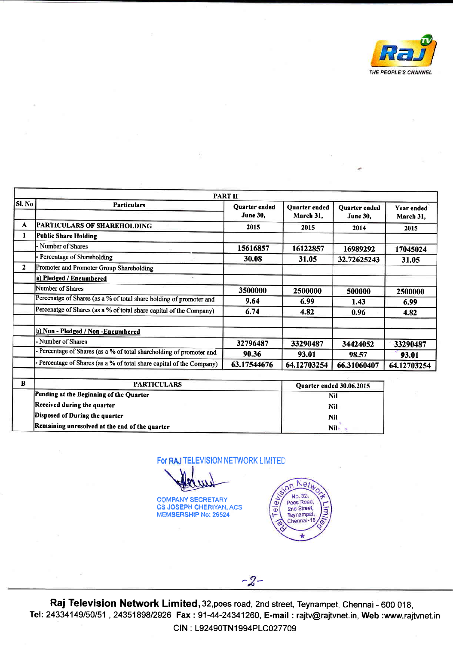

|              | <b>PART II</b><br>Sl. No<br><b>Particulars</b><br>Quarter ended<br>Quarter ended<br><b>Ouarter</b> ended<br>Year ended |                 |             |                                 |             |
|--------------|------------------------------------------------------------------------------------------------------------------------|-----------------|-------------|---------------------------------|-------------|
|              |                                                                                                                        | <b>June 30,</b> | March 31,   | <b>June 30,</b>                 | March 31,   |
| A            | <b>PARTICULARS OF SHAREHOLDING</b>                                                                                     | 2015            | 2015        | 2014                            | 2015        |
| 1            | Public Share Holding                                                                                                   |                 |             |                                 |             |
|              | - Number of Shares                                                                                                     | 15616857        | 16122857    | 16989292                        | 17045024    |
|              | Percentage of Shareholding                                                                                             | 30.08           | 31.05       | 32.72625243                     | 31.05       |
| $\mathbf{2}$ | Promoter and Promoter Group Shareholding                                                                               |                 |             |                                 |             |
|              | a) Pledged / Encumbered<br>$\sim$                                                                                      |                 |             |                                 |             |
|              | Number of Shares                                                                                                       | 3500000         | 2500000     | 500000                          | 2500000     |
|              | Percenatge of Shares (as a % of total share holding of promoter and                                                    | 9.64            | 6.99        | 1.43                            | 6.99        |
|              | Percenatge of Shares (as a % of total share capital of the Company)                                                    | 6.74            | 4.82        | 0.96                            | 4.82        |
|              | b) Non - Pledged / Non - Encumbered                                                                                    |                 |             |                                 |             |
|              | - Number of Shares                                                                                                     | 32796487        | 33290487    | 34424052                        | 33290487    |
|              | - Percentage of Shares (as a % of total shareholding of promoter and                                                   | 90.36           | 93.01       | 98.57                           | 93.01       |
|              | - Percentage of Shares (as a % of total share capital of the Company)                                                  | 63.17544676     | 64.12703254 | 66.31060407                     | 64.12703254 |
| B            | <b>PARTICULARS</b>                                                                                                     |                 |             | <b>Quarter ended 30.06.2015</b> |             |
|              | Pending at the Beginning of the Quarter                                                                                |                 |             | Nil                             |             |

| Nil |
|-----|
| Nil |
| Nil |
| Nil |
|     |

For RAJ TELEVISION NETWORK LIMITED

**COMPANY SECRETARY** CS JOSEPH CHERIYAN, ACS MEMBERSHIP No: 26s24

**SION** Netu No. 32,  $\overline{\mathbf{c}}$ 2nd Street,  $\overline{\mathbf{0}}$ в Teynampet Chennai-18 ò

Raj Television Network Limited,32,poes road, 2nd street, Teynampet, Chennai- 600 018, Tel: 24334149/50/51 , 24351898/2926 Fax : 91-44-24341260, <mark>E-mail : r</mark>ajtv@rajtvnet.in, **Web :www**.rajtvnet.ir CIN : L92490TN1994PLC027709

 $-2-$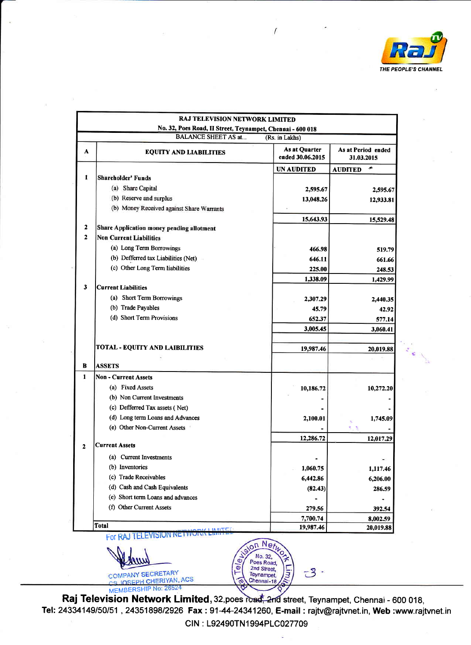

 $\epsilon_{\rm eff}$ 

|                | <b>RAJ TELEVISION NETWORK LIMITED</b><br>No. 32, Poes Road, II Street, Teynampet, Chennai - 600 018 |                                   |                                  |
|----------------|-----------------------------------------------------------------------------------------------------|-----------------------------------|----------------------------------|
|                | <b>BALANCE SHEET AS at</b>                                                                          | (Rs. in Lakhs)                    |                                  |
| A              | <b>EQUITY AND LIABILITIES</b>                                                                       | As at Quarter<br>ended 30.06.2015 | As at Period ended<br>31.03.2015 |
|                |                                                                                                     | UN AUDITED                        | جانع<br><b>AUDITED</b>           |
| 1              | <b>Shareholder' Funds</b>                                                                           |                                   |                                  |
|                | (a) Share Capital                                                                                   | 2,595.67                          | 2,595.67                         |
|                | (b) Reserve and surplus                                                                             | 13,048.26                         | 12,933.81                        |
|                | (b) Money Received against Share Warrants                                                           |                                   |                                  |
|                |                                                                                                     | 15,643.93                         | 15,529.48                        |
| 2              | Share Application money pending allotment                                                           |                                   |                                  |
| $\overline{2}$ | <b>Non Current Liabilities</b>                                                                      |                                   |                                  |
|                | (a) Long Term Borrowings                                                                            | 466.98                            | 519.79                           |
|                | (b) Defferred tax Liabilities (Net)                                                                 | 646.11                            | 661.66                           |
|                | (c) Other Long Term liabilities                                                                     | 225.00                            | 248.53                           |
|                |                                                                                                     | 1,338.09                          | 1,429.99                         |
| 3              | <b>Current Liabilities</b>                                                                          |                                   |                                  |
|                | (a) Short Term Borrowings                                                                           | 2,307.29                          | 2,440.35                         |
|                | (b) Trade Payables<br>(d) Short Term Provisions                                                     | 45.79                             | 42.92                            |
|                |                                                                                                     | 652.37                            | 577.14                           |
|                |                                                                                                     | 3,005.45                          | 3,060.41                         |
|                | TOTAL - EQUITY AND LAIBILITIES                                                                      | 19,987.46                         | 20,019.88                        |
| B              | <b>ASSETS</b>                                                                                       |                                   |                                  |
| 1              | Non - Current Assets                                                                                |                                   |                                  |
|                | (a) Fixed Assets                                                                                    | 10,186.72                         | 10,272.20                        |
|                | (b) Non Current Investments                                                                         |                                   |                                  |
|                | (c) Defferred Tax assets (Net)                                                                      |                                   |                                  |
|                | (d) Long term Loans and Advances                                                                    | 2,100.01                          | 1,745.09                         |
|                | (e) Other Non-Current Assets                                                                        |                                   |                                  |
| 2              | <b>Current Assets</b>                                                                               | 12,286.72                         | 12,017.29                        |
|                |                                                                                                     |                                   |                                  |
|                | (a) Current Investments<br>(b) Inventories                                                          |                                   |                                  |
|                | (c) Trade Receivables                                                                               | 1,060.75                          | 1,117.46                         |
|                | (d) Cash and Cash Equivalents                                                                       | 6,442.86                          | 6,206.00                         |
|                | (e) Short term Loans and advances                                                                   | (82.43)                           | 286.59                           |
|                | (f) Other Current Assets                                                                            |                                   |                                  |
|                |                                                                                                     | 279.56                            | 392.54                           |
|                | Total                                                                                               | 7,700.74<br>19,987.46             | 8,002.59<br>20,019.88            |

 $\sqrt{2}$ 

For

COMPANY SECRETARY



Raj Television Network Limited, 32, poes road, 2nd street, Teynampet, Chennai - 600 018, Tel: 24334149/50/51, 24351898/2926 Fax: 91-44-24341260, E-mail : rajtv@rajtvnet.in, Web:www.rajtvnet.in CIN : 192490TN1 994PLC027709

Ø  $\overline{e}$ 

on Net No. 32, Poes Road,<br>2nd Street,<br>Teynampet,

Chennai-18

 $-3$ 

ā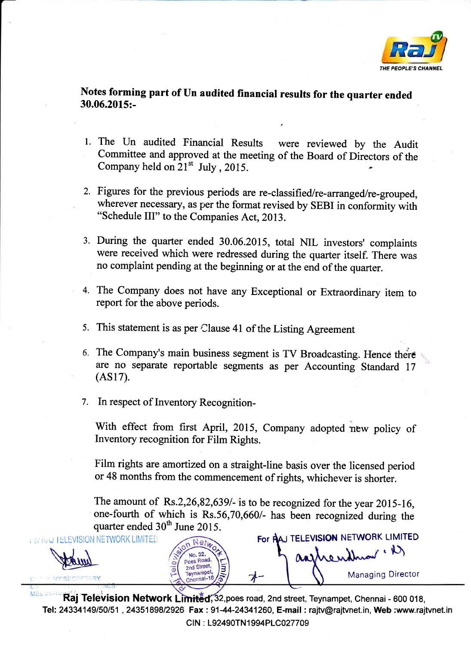

Notes forming part of Un audited financial results for the quarter ended 30.06.2015:-

- l. The Un audited Financial Results were reviewed by the Audit Committee and approved at the meeting of the Board of Directors of the Company held on  $21^{st}$  July, 2015.
- 2. Figures for the previous periods are re-classified/re -arranged/re-grouped, wherever necessary, as per the format revised by SEBI in conformity with "Schedule III" to the Companies Act, 2013.
- 3. During the quarter ended 30.06.2015, total NIL investors' complaints were received which were redressed during the quarter itself. There was no complaint pending at the beginning or at the end of the quarter.
- The Company does not have any Exceptional or Extraordinary item to 4. report for the above periods.
- This statement is as per clause 41 of the Listing Agreement 5.
- 6. The Company's main business segment is TV Broadcasting. Hence there are no separate reportable segments as per Accounting Standard <sup>17</sup>  $(AS17).$
- 7. In respect of Inventory Recognition-

With effect from first April, 2015, Company adopted new policy of Inventory recognition for Film Rights.

Film rights are amortized on a straight-line basis over the licensed period or 48 months from the commencement of rights, whichever is shorter.

The amount of  $Rs.2,26,82,639/$ - is to be recognized for the year 2015-16, one-fourth of which is  $Rs.56,70,660/$ - has been recognized during the quarter ended  $30<sup>th</sup>$  June 2015.

**i** of RAJ TELEVISION NETWORK LIMITED **For RAJ TELEVISION NETWORK LIMITE** 

Managing Director

assherithment. D

Raj Television Network Limited, 32, poes road, 2nd street, Teynampet, Chennai - 600 018, Tel: 24334149/50/51 , 24351898/2926 Fax : 91-44-24341260, **E-mail : r**ajtv@rajtvnet.in, **Web :www.ra**jtvnet.in CIN : L92490TN1994PLC027709

3

No. 32, Poes Road, 2nd Street Teynampet